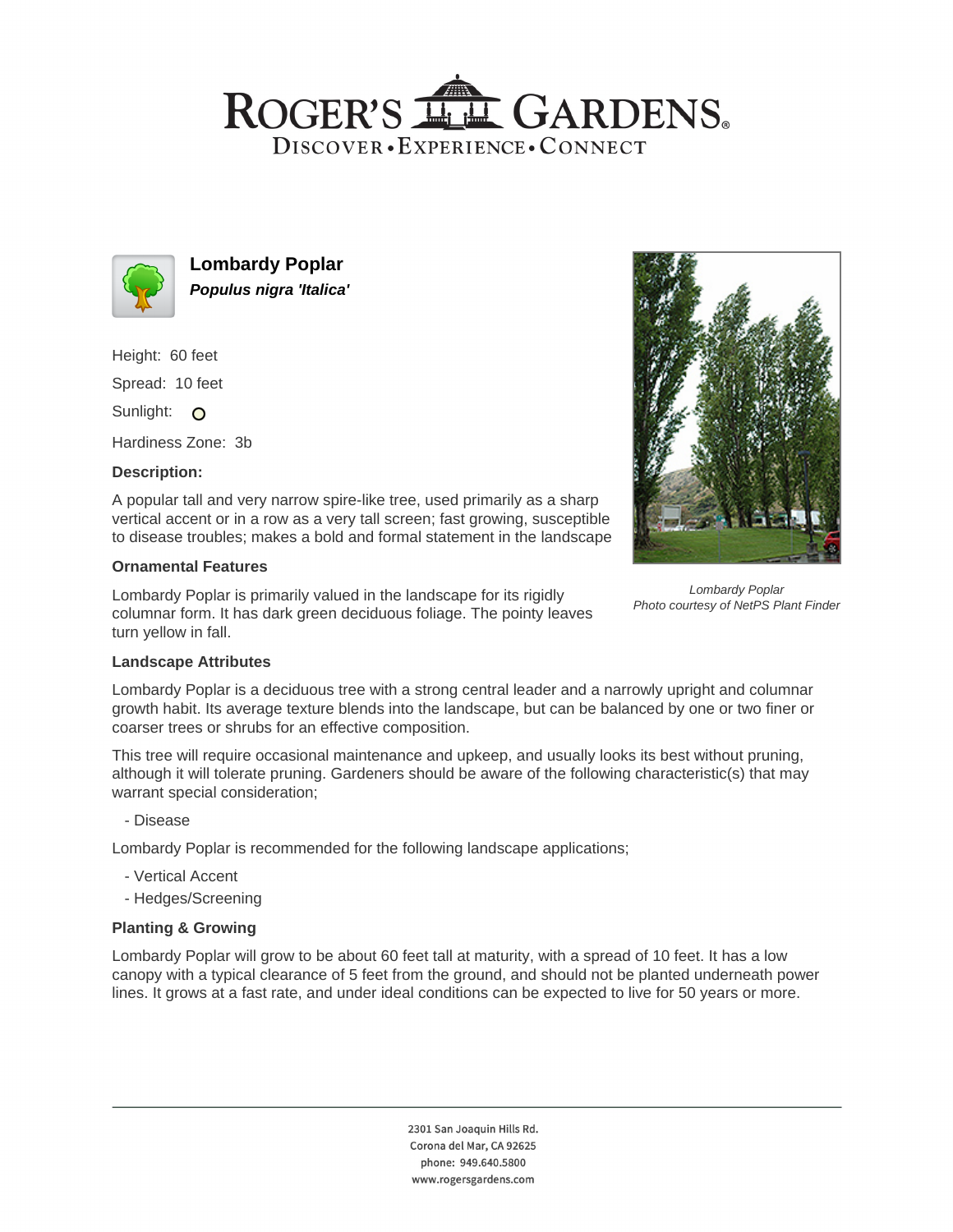# ROGER'S LL GARDENS. DISCOVER · EXPERIENCE · CONNECT



**Lombardy Poplar Populus nigra 'Italica'**

Height: 60 feet

Spread: 10 feet

Sunlight: O

Hardiness Zone: 3b

# **Description:**

A popular tall and very narrow spire-like tree, used primarily as a sharp vertical accent or in a row as a very tall screen; fast growing, susceptible to disease troubles; makes a bold and formal statement in the landscape

# **Ornamental Features**

Lombardy Poplar is primarily valued in the landscape for its rigidly columnar form. It has dark green deciduous foliage. The pointy leaves turn yellow in fall.



Lombardy Poplar Photo courtesy of NetPS Plant Finder

### **Landscape Attributes**

Lombardy Poplar is a deciduous tree with a strong central leader and a narrowly upright and columnar growth habit. Its average texture blends into the landscape, but can be balanced by one or two finer or coarser trees or shrubs for an effective composition.

This tree will require occasional maintenance and upkeep, and usually looks its best without pruning, although it will tolerate pruning. Gardeners should be aware of the following characteristic(s) that may warrant special consideration;

- Disease

Lombardy Poplar is recommended for the following landscape applications;

- Vertical Accent
- Hedges/Screening

### **Planting & Growing**

Lombardy Poplar will grow to be about 60 feet tall at maturity, with a spread of 10 feet. It has a low canopy with a typical clearance of 5 feet from the ground, and should not be planted underneath power lines. It grows at a fast rate, and under ideal conditions can be expected to live for 50 years or more.

> 2301 San Joaquin Hills Rd. Corona del Mar, CA 92625 phone: 949.640.5800 www.rogersgardens.com